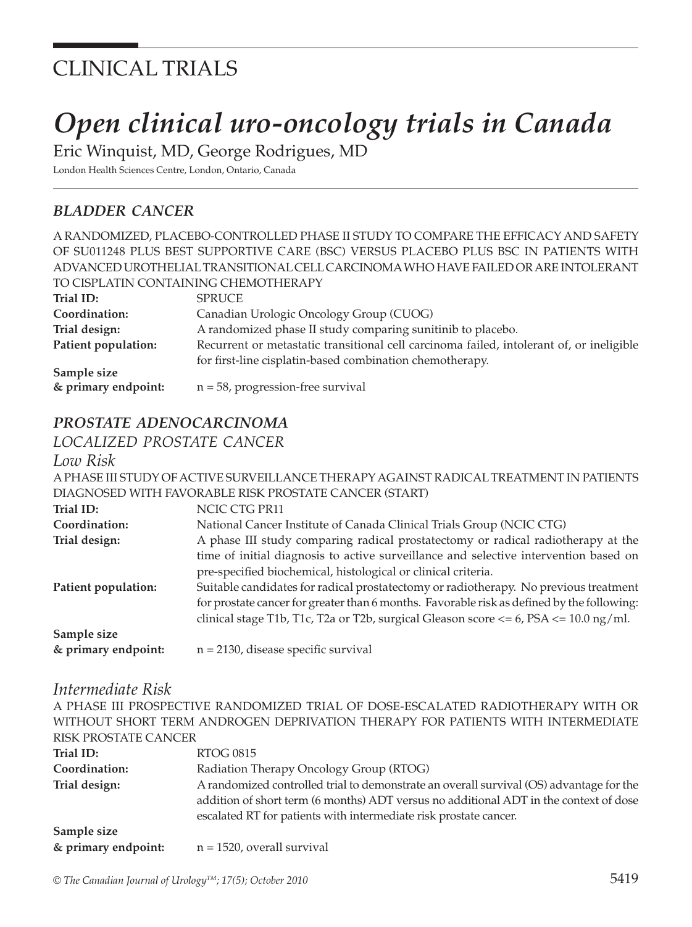# CLINICAL TRIALS

# *Open clinical uro-oncology trials in Canada*

Eric Winquist, MD, George Rodrigues, MD

London Health Sciences Centre, London, Ontario, Canada

# *BLADDER CANCER*

A RANDOMIZED, PLACEBO-CONTROLLED PHASE II STUDY TO COMPARE THE EFFICACY AND SAFETY OF SU011248 PLUS BEST SUPPORTIVE CARE (BSC) VERSUS PLACEBO PLUS BSC IN PATIENTS WITH ADVANCED UROTHELIAL TRANSITIONAL CELL CARCINOMA WHO HAVE FAILED OR ARE INTOLERANT TO CISPLATIN CONTAINING CHEMOTHERAPY

| Trial ID:           | <b>SPRUCE</b>                                                                            |
|---------------------|------------------------------------------------------------------------------------------|
| Coordination:       | Canadian Urologic Oncology Group (CUOG)                                                  |
| Trial design:       | A randomized phase II study comparing sunitinib to placebo.                              |
| Patient population: | Recurrent or metastatic transitional cell carcinoma failed, intolerant of, or ineligible |
|                     | for first-line cisplatin-based combination chemotherapy.                                 |
| Sample size         |                                                                                          |
| & primary endpoint: | $n = 58$ , progression-free survival                                                     |

# *PROSTATE ADENOCARCINOMA*

*LOCALIZED PROSTATE CANCER*

#### *Low Risk*

A PHASE III STUDY OF ACTIVE SURVEILLANCE THERAPY AGAINST RADICAL TREATMENT IN PATIENTS DIAGNOSED WITH FAVORABLE RISK PROSTATE CANCER (START)

| Trial ID:           | NCIC CTG PR11                                                                                 |
|---------------------|-----------------------------------------------------------------------------------------------|
| Coordination:       | National Cancer Institute of Canada Clinical Trials Group (NCIC CTG)                          |
| Trial design:       | A phase III study comparing radical prostatectomy or radical radiotherapy at the              |
|                     | time of initial diagnosis to active surveillance and selective intervention based on          |
|                     | pre-specified biochemical, histological or clinical criteria.                                 |
| Patient population: | Suitable candidates for radical prostatectomy or radiotherapy. No previous treatment          |
|                     | for prostate cancer for greater than 6 months. Favorable risk as defined by the following:    |
|                     | clinical stage T1b, T1c, T2a or T2b, surgical Gleason score $\lt= 6$ , PSA $\lt= 10.0$ ng/ml. |
| Sample size         |                                                                                               |
| & primary endpoint: | $n = 2130$ , disease specific survival                                                        |

#### *Intermediate Risk*

A PHASE III PROSPECTIVE RANDOMIZED TRIAL OF DOSE-ESCALATED RADIOTHERAPY WITH OR WITHOUT SHORT TERM ANDROGEN DEPRIVATION THERAPY FOR PATIENTS WITH INTERMEDIATE RISK PROSTATE CANCER **Trial ID:** RTOG 0815

| Coordination:       | Radiation Therapy Oncology Group (RTOG)                                                 |  |
|---------------------|-----------------------------------------------------------------------------------------|--|
| Trial design:       | A randomized controlled trial to demonstrate an overall survival (OS) advantage for the |  |
|                     | addition of short term (6 months) ADT versus no additional ADT in the context of dose   |  |
|                     | escalated RT for patients with intermediate risk prostate cancer.                       |  |
| Sample size         |                                                                                         |  |
| & primary endpoint: | $n = 1520$ , overall survival                                                           |  |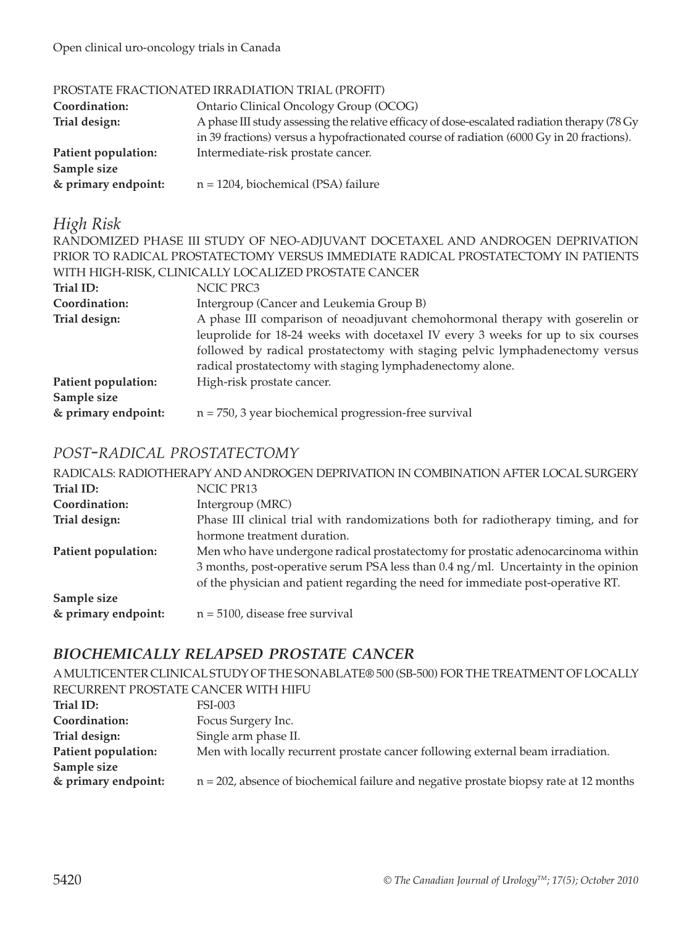Open clinical uro-oncology trials in Canada

#### PROSTATE FRACTIONATED IRRADIATION TRIAL (PROFIT)

| Coordination:<br>Trial design:     | Ontario Clinical Oncology Group (OCOG)<br>A phase III study assessing the relative efficacy of dose-escalated radiation therapy (78 Gy<br>in 39 fractions) versus a hypofractionated course of radiation (6000 Gy in 20 fractions). |
|------------------------------------|-------------------------------------------------------------------------------------------------------------------------------------------------------------------------------------------------------------------------------------|
| Patient population:<br>Sample size | Intermediate-risk prostate cancer.                                                                                                                                                                                                  |
| & primary endpoint:                | $n = 1204$ , biochemical (PSA) failure                                                                                                                                                                                              |

## *High Risk*

RANDOMIZED PHASE III STUDY OF NEO-ADJUVANT DOCETAXEL AND ANDROGEN DEPRIVATION PRIOR TO RADICAL PROSTATECTOMY VERSUS IMMEDIATE RADICAL PROSTATECTOMY IN PATIENTS WITH HIGH-RISK, CLINICALLY LOCALIZED PROSTATE CANCER

| A phase III comparison of neoadjuvant chemohormonal therapy with goserelin or    |
|----------------------------------------------------------------------------------|
| leuprolide for 18-24 weeks with docetaxel IV every 3 weeks for up to six courses |
| followed by radical prostatectomy with staging pelvic lymphadenectomy versus     |
|                                                                                  |
|                                                                                  |
|                                                                                  |
|                                                                                  |
|                                                                                  |

## *POST-RADICAL PROSTATECTOMY*

|                     | RADICALS: RADIOTHERAPY AND ANDROGEN DEPRIVATION IN COMBINATION AFTER LOCAL SURGERY |
|---------------------|------------------------------------------------------------------------------------|
| Trial ID:           | NCIC PR13                                                                          |
| Coordination:       | Intergroup (MRC)                                                                   |
| Trial design:       | Phase III clinical trial with randomizations both for radiotherapy timing, and for |
|                     | hormone treatment duration.                                                        |
| Patient population: | Men who have undergone radical prostatectomy for prostatic adenocarcinoma within   |
|                     | 3 months, post-operative serum PSA less than 0.4 ng/ml. Uncertainty in the opinion |
|                     | of the physician and patient regarding the need for immediate post-operative RT.   |
| Sample size         |                                                                                    |
| & primary endpoint: | $n = 5100$ , disease free survival                                                 |

## *BIOCHEMICALLY RELAPSED PROSTATE CANCER*

A MULTICENTER CLINICAL STUDY OF THE SONABLATE® 500 (SB-500) FOR THE TREATMENT OF LOCALLY RECURRENT PROSTATE CANCER WITH HIFU

| Trial ID:           | FSI-003                                                                                   |
|---------------------|-------------------------------------------------------------------------------------------|
| Coordination:       | Focus Surgery Inc.                                                                        |
| Trial design:       | Single arm phase II.                                                                      |
| Patient population: | Men with locally recurrent prostate cancer following external beam irradiation.           |
| Sample size         |                                                                                           |
| & primary endpoint: | $n = 202$ , absence of biochemical failure and negative prostate biopsy rate at 12 months |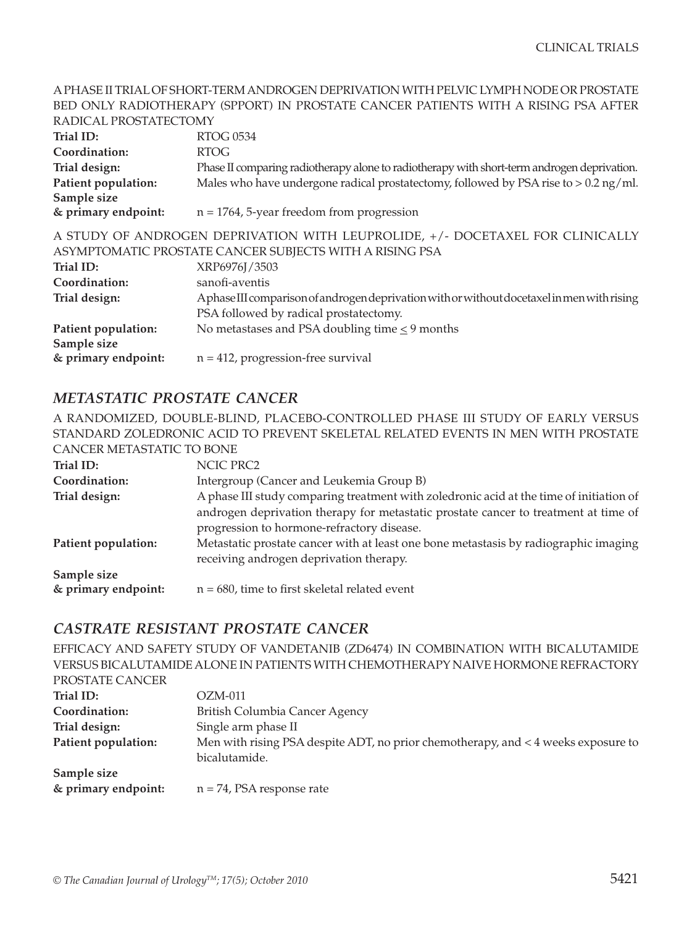#### A PHASE II TRIAL OF SHORT-TERM ANDROGEN DEPRIVATION WITH PELVIC LYMPH NODE OR PROSTATE BED ONLY RADIOTHERAPY (SPPORT) IN PROSTATE CANCER PATIENTS WITH A RISING PSA AFTER RADICAL PROSTATECTOMY

| KADICAL PROSTATECTOMY                                                         |                                                                                             |  |
|-------------------------------------------------------------------------------|---------------------------------------------------------------------------------------------|--|
| Trial ID:                                                                     | <b>RTOG 0534</b>                                                                            |  |
| Coordination:                                                                 | <b>RTOG</b>                                                                                 |  |
| Trial design:                                                                 | Phase II comparing radiotherapy alone to radiotherapy with short-term androgen deprivation. |  |
| Patient population:                                                           | Males who have undergone radical prostatectomy, followed by PSA rise to $> 0.2$ ng/ml.      |  |
| Sample size                                                                   |                                                                                             |  |
| & primary endpoint:                                                           | $n = 1764$ , 5-year freedom from progression                                                |  |
| A STUDY OF ANDROGEN DEPRIVATION WITH LEUPROLIDE, +/- DOCETAXEL FOR CLINICALLY |                                                                                             |  |
| ASYMPTOMATIC PROSTATE CANCER SUBJECTS WITH A RISING PSA                       |                                                                                             |  |
| Trial ID:                                                                     | XRP6976J/3503                                                                               |  |
| Coordination:                                                                 | sanofi-aventis                                                                              |  |
| Trial design:                                                                 | Aphase III comparison of androgen deprivation with or without docetaxel in men with rising  |  |
|                                                                               | PSA followed by radical prostatectomy.                                                      |  |
| Patient population:                                                           | No metastases and PSA doubling time < 9 months                                              |  |
| Sample size                                                                   |                                                                                             |  |
| & primary endpoint:                                                           | $n = 412$ , progression-free survival                                                       |  |

## *METASTATIC PROSTATE CANCER*

A RANDOMIZED, DOUBLE-BLIND, PLACEBO-CONTROLLED PHASE III STUDY OF EARLY VERSUS STANDARD ZOLEDRONIC ACID TO PREVENT SKELETAL RELATED EVENTS IN MEN WITH PROSTATE CANCER METASTATIC TO BONE

| Trial ID:           | NCIC PRC2                                                                                                                         |
|---------------------|-----------------------------------------------------------------------------------------------------------------------------------|
| Coordination:       | Intergroup (Cancer and Leukemia Group B)                                                                                          |
| Trial design:       | A phase III study comparing treatment with zoledronic acid at the time of initiation of                                           |
|                     | androgen deprivation therapy for metastatic prostate cancer to treatment at time of<br>progression to hormone-refractory disease. |
| Patient population: | Metastatic prostate cancer with at least one bone metastasis by radiographic imaging<br>receiving androgen deprivation therapy.   |
| Sample size         |                                                                                                                                   |
| & primary endpoint: | $n = 680$ , time to first skeletal related event                                                                                  |

## *CASTRATE RESISTANT PROSTATE CANCER*

EFFICACY AND SAFETY STUDY OF VANDETANIB (ZD6474) IN COMBINATION WITH BICALUTAMIDE VERSUS BICALUTAMIDE ALONE IN PATIENTS WITH CHEMOTHERAPY NAIVE HORMONE REFRACTORY

| PROSTATE CANCER     |                                                                                   |
|---------------------|-----------------------------------------------------------------------------------|
| Trial ID:           | $OZM-011$                                                                         |
| Coordination:       | British Columbia Cancer Agency                                                    |
| Trial design:       | Single arm phase II                                                               |
| Patient population: | Men with rising PSA despite ADT, no prior chemotherapy, and < 4 weeks exposure to |
|                     | bicalutamide.                                                                     |
| Sample size         |                                                                                   |
| & primary endpoint: | $n = 74$ , PSA response rate                                                      |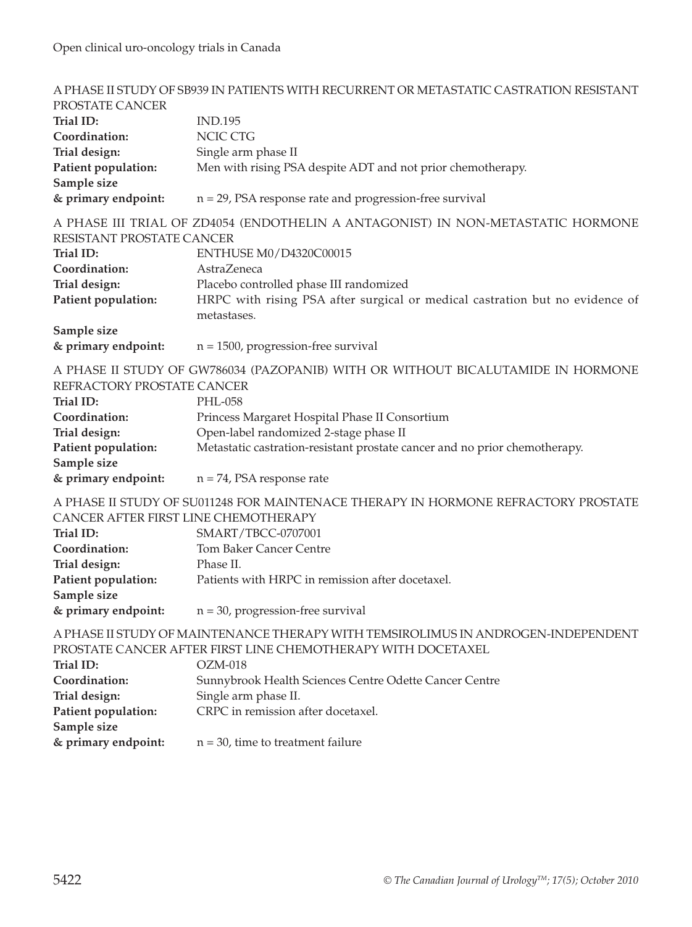#### A PHASE II STUDY OF SB939 IN PATIENTS WITH RECURRENT OR METASTATIC CASTRATION RESISTANT PROSTATE CANCER **Trial ID:** IND.195 **Coordination:** NCIC CTG **Trial design:** Single arm phase II **Patient population:** Men with rising PSA despite ADT and not prior chemotherapy. **Sample size & primary endpoint:** n = 29, PSA response rate and progression-free survival A PHASE III TRIAL OF ZD4054 (ENDOTHELIN A ANTAGONIST) IN NON-METASTATIC HORMONE RESISTANT PROSTATE CANCER **Trial ID: ENTHUSE M0/D4320C00015 Coordination:** AstraZeneca **Trial design:** Placebo controlled phase III randomized Patient population: HRPC with rising PSA after surgical or medical castration but no evidence of metastases. **Sample size & primary endpoint:** n = 1500, progression-free survival A PHASE II STUDY OF GW786034 (PAZOPANIB) WITH OR WITHOUT BICALUTAMIDE IN HORMONE REFRACTORY PROSTATE CANCER **Trial ID:** PHL-058 **Coordination:** Princess Margaret Hospital Phase II Consortium **Trial design:** Open-label randomized 2-stage phase II **Patient population:** Metastatic castration-resistant prostate cancer and no prior chemotherapy. **Sample size & primary endpoint:** n = 74, PSA response rate A PHASE II STUDY OF SU011248 FOR MAINTENACE THERAPY IN HORMONE REFRACTORY PROSTATE CANCER AFTER FIRST LINE CHEMOTHERAPY **Trial ID:** SMART/TBCC-0707001 **Coordination:** Tom Baker Cancer Centre **Trial design:** Phase II. **Patient population:** Patients with HRPC in remission after docetaxel. **Sample size & primary endpoint:** n = 30, progression-free survival A PHASE II STUDY OF MAINTENANCE THERAPY WITH TEMSIROLIMUS IN ANDROGEN-INDEPENDENT PROSTATE CANCER AFTER FIRST LINE CHEMOTHERAPY WITH DOCETAXEL **Trial ID:** OZM-018 **Coordination:** Sunnybrook Health Sciences Centre Odette Cancer Centre **Trial design:** Single arm phase II. **Patient population:** CRPC in remission after docetaxel.

**Sample size** 

**& primary endpoint:** n = 30, time to treatment failure